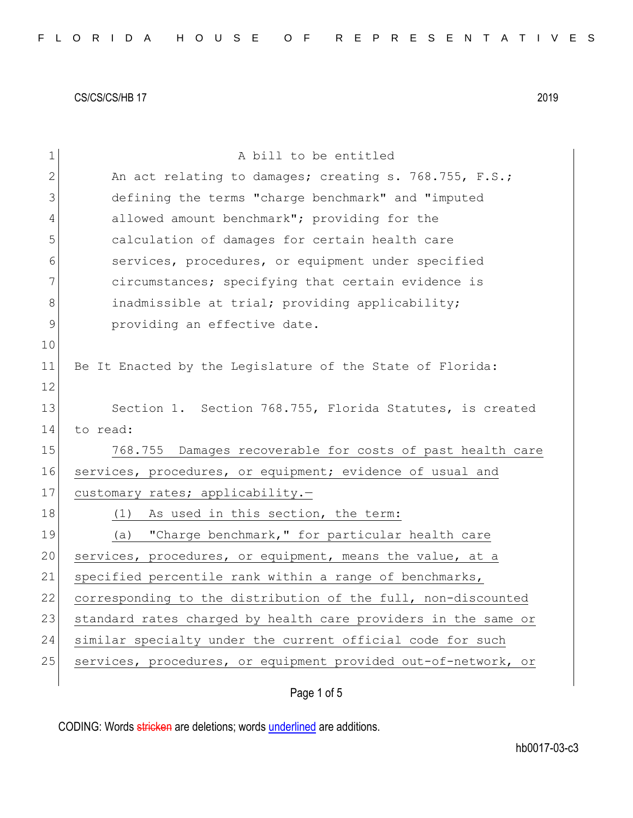| $\mathbf 1$ | A bill to be entitled                                          |
|-------------|----------------------------------------------------------------|
| 2           | An act relating to damages; creating s. 768.755, F.S.;         |
| 3           | defining the terms "charge benchmark" and "imputed             |
| 4           | allowed amount benchmark"; providing for the                   |
| 5           | calculation of damages for certain health care                 |
| 6           | services, procedures, or equipment under specified             |
| 7           | circumstances; specifying that certain evidence is             |
| 8           | inadmissible at trial; providing applicability;                |
| $\mathsf 9$ | providing an effective date.                                   |
| 10          |                                                                |
| 11          | Be It Enacted by the Legislature of the State of Florida:      |
| 12          |                                                                |
| 13          | Section 1. Section 768.755, Florida Statutes, is created       |
| 14          | to read:                                                       |
| 15          | 768.755 Damages recoverable for costs of past health care      |
| 16          | services, procedures, or equipment; evidence of usual and      |
| 17          | customary rates; applicability.-                               |
| 18          | (1)<br>As used in this section, the term:                      |
| 19          | "Charge benchmark," for particular health care<br>(a)          |
| 20          | services, procedures, or equipment, means the value, at a      |
| 21          | specified percentile rank within a range of benchmarks,        |
| 22          | corresponding to the distribution of the full, non-discounted  |
| 23          | standard rates charged by health care providers in the same or |
| 24          | similar specialty under the current official code for such     |
| 25          | services, procedures, or equipment provided out-of-network, or |
|             |                                                                |

Page 1 of 5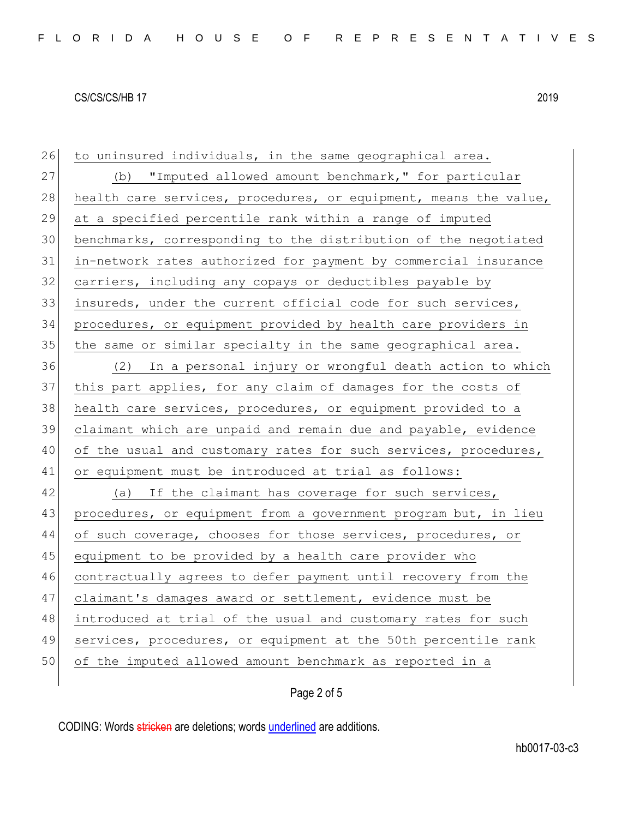26 to uninsured individuals, in the same geographical area. 27 (b) "Imputed allowed amount benchmark," for particular 28 health care services, procedures, or equipment, means the value, at a specified percentile rank within a range of imputed benchmarks, corresponding to the distribution of the negotiated in-network rates authorized for payment by commercial insurance carriers, including any copays or deductibles payable by insureds, under the current official code for such services, procedures, or equipment provided by health care providers in the same or similar specialty in the same geographical area. (2) In a personal injury or wrongful death action to which this part applies, for any claim of damages for the costs of 38 health care services, procedures, or equipment provided to a claimant which are unpaid and remain due and payable, evidence 40 of the usual and customary rates for such services, procedures, or equipment must be introduced at trial as follows: 42 (a) If the claimant has coverage for such services, procedures, or equipment from a government program but, in lieu 44 of such coverage, chooses for those services, procedures, or 45 equipment to be provided by a health care provider who contractually agrees to defer payment until recovery from the claimant's damages award or settlement, evidence must be introduced at trial of the usual and customary rates for such services, procedures, or equipment at the 50th percentile rank of the imputed allowed amount benchmark as reported in a

## Page 2 of 5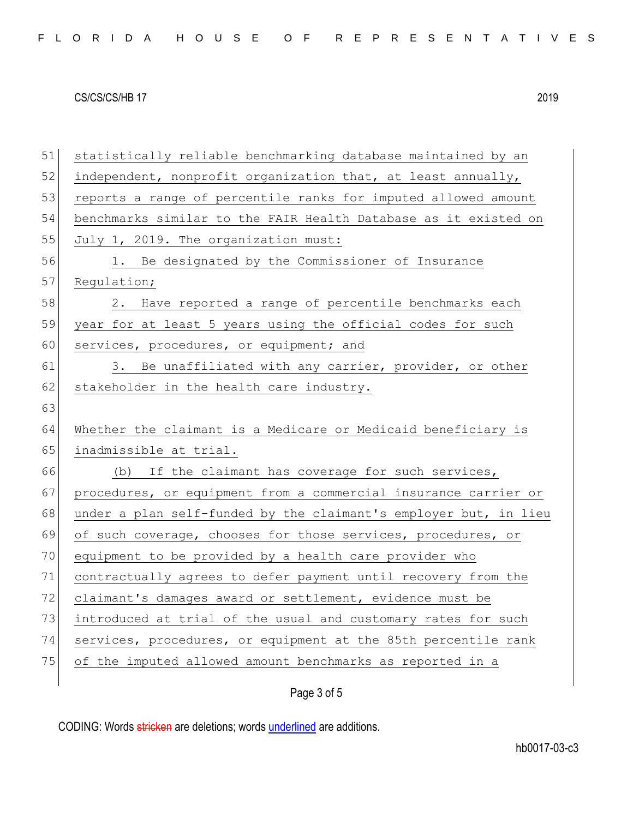| 51 | statistically reliable benchmarking database maintained by an    |
|----|------------------------------------------------------------------|
| 52 | independent, nonprofit organization that, at least annually,     |
| 53 | reports a range of percentile ranks for imputed allowed amount   |
| 54 | benchmarks similar to the FAIR Health Database as it existed on  |
| 55 | July 1, 2019. The organization must:                             |
| 56 | 1. Be designated by the Commissioner of Insurance                |
| 57 | Regulation;                                                      |
| 58 | Have reported a range of percentile benchmarks each<br>2.        |
| 59 | year for at least 5 years using the official codes for such      |
| 60 | services, procedures, or equipment; and                          |
| 61 | 3. Be unaffiliated with any carrier, provider, or other          |
| 62 | stakeholder in the health care industry.                         |
| 63 |                                                                  |
| 64 | Whether the claimant is a Medicare or Medicaid beneficiary is    |
| 65 | inadmissible at trial.                                           |
| 66 | (b) If the claimant has coverage for such services,              |
| 67 | procedures, or equipment from a commercial insurance carrier or  |
| 68 | under a plan self-funded by the claimant's employer but, in lieu |
| 69 | of such coverage, chooses for those services, procedures, or     |
| 70 | equipment to be provided by a health care provider who           |
| 71 | contractually agrees to defer payment until recovery from the    |
| 72 | claimant's damages award or settlement, evidence must be         |
| 73 | introduced at trial of the usual and customary rates for such    |
| 74 | services, procedures, or equipment at the 85th percentile rank   |
| 75 | of the imputed allowed amount benchmarks as reported in a        |
|    |                                                                  |
|    | Page 3 of 5                                                      |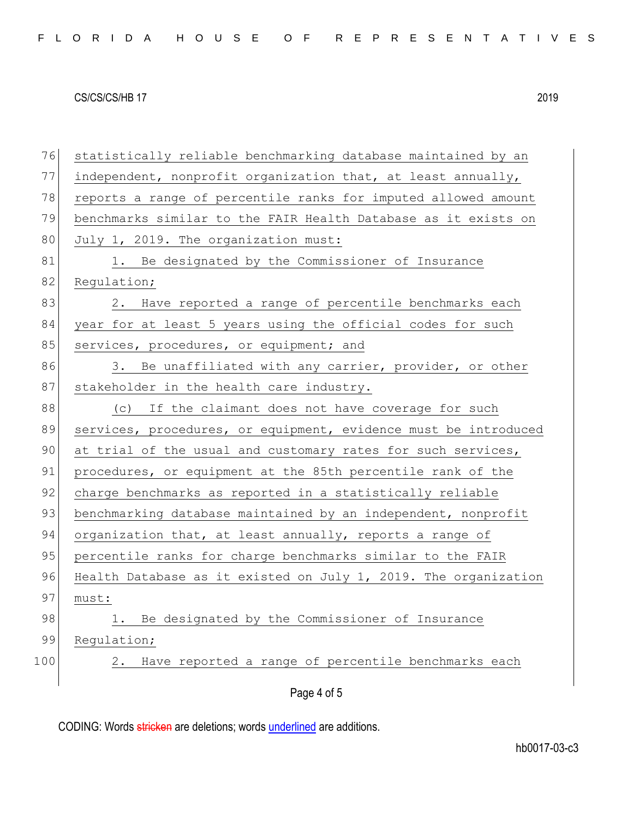| 76  | statistically reliable benchmarking database maintained by an   |
|-----|-----------------------------------------------------------------|
| 77  | independent, nonprofit organization that, at least annually,    |
| 78  | reports a range of percentile ranks for imputed allowed amount  |
| 79  | benchmarks similar to the FAIR Health Database as it exists on  |
| 80  | July 1, 2019. The organization must:                            |
| 81  | 1. Be designated by the Commissioner of Insurance               |
| 82  | Regulation;                                                     |
| 83  | 2. Have reported a range of percentile benchmarks each          |
| 84  | year for at least 5 years using the official codes for such     |
| 85  | services, procedures, or equipment; and                         |
| 86  | 3. Be unaffiliated with any carrier, provider, or other         |
| 87  | stakeholder in the health care industry.                        |
| 88  | (c) If the claimant does not have coverage for such             |
| 89  | services, procedures, or equipment, evidence must be introduced |
| 90  | at trial of the usual and customary rates for such services,    |
| 91  | procedures, or equipment at the 85th percentile rank of the     |
| 92  | charge benchmarks as reported in a statistically reliable       |
| 93  | benchmarking database maintained by an independent, nonprofit   |
| 94  | organization that, at least annually, reports a range of        |
| 95  | percentile ranks for charge benchmarks similar to the FAIR      |
| 96  | Health Database as it existed on July 1, 2019. The organization |
| 97  | must:                                                           |
| 98  | Be designated by the Commissioner of Insurance<br>1.            |
| 99  | Regulation;                                                     |
| 100 | Have reported a range of percentile benchmarks each<br>2.       |
|     |                                                                 |
|     | Page 4 of 5                                                     |